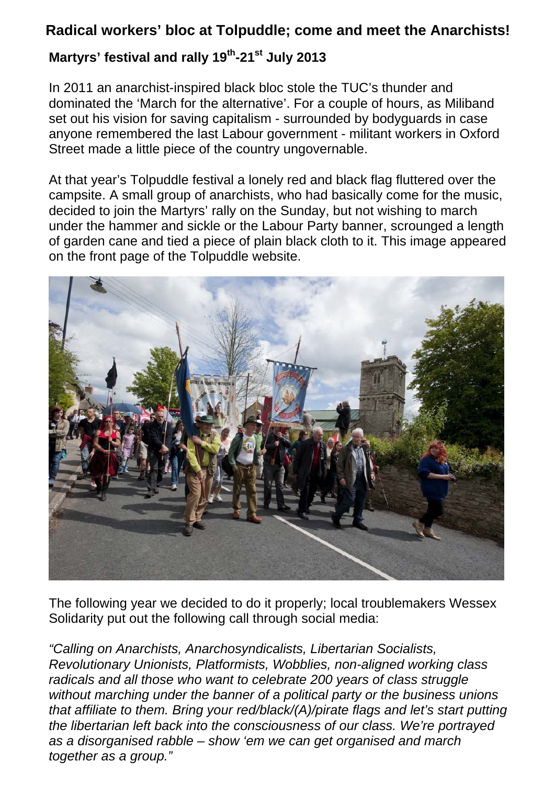## **Radical workers' bloc at Tolpuddle; come and meet the Anarchists!**

## **Martyrs' festival and rally 19th-21st July 2013**

In 2011 an anarchist-inspired black bloc stole the TUC's thunder and dominated the 'March for the alternative'. For a couple of hours, as Miliband set out his vision for saving capitalism - surrounded by bodyguards in case anyone remembered the last Labour government - militant workers in Oxford Street made a little piece of the country ungovernable.

At that year's Tolpuddle festival a lonely red and black flag fluttered over the campsite. A small group of anarchists, who had basically come for the music, decided to join the Martyrs' rally on the Sunday, but not wishing to march under the hammer and sickle or the Labour Party banner, scrounged a length of garden cane and tied a piece of plain black cloth to it. This image appeared on the front page of the Tolpuddle website.



The following year we decided to do it properly; local troublemakers Wessex Solidarity put out the following call through social media:

*"Calling on Anarchists, Anarchosyndicalists, Libertarian Socialists, Revolutionary Unionists, Platformists, Wobblies, non-aligned working class radicals and all those who want to celebrate 200 years of class struggle without marching under the banner of a political party or the business unions that affiliate to them. Bring your red/black/(A)/pirate flags and let's start putting the libertarian left back into the consciousness of our class. We're portrayed as a disorganised rabble – show 'em we can get organised and march together as a group."*